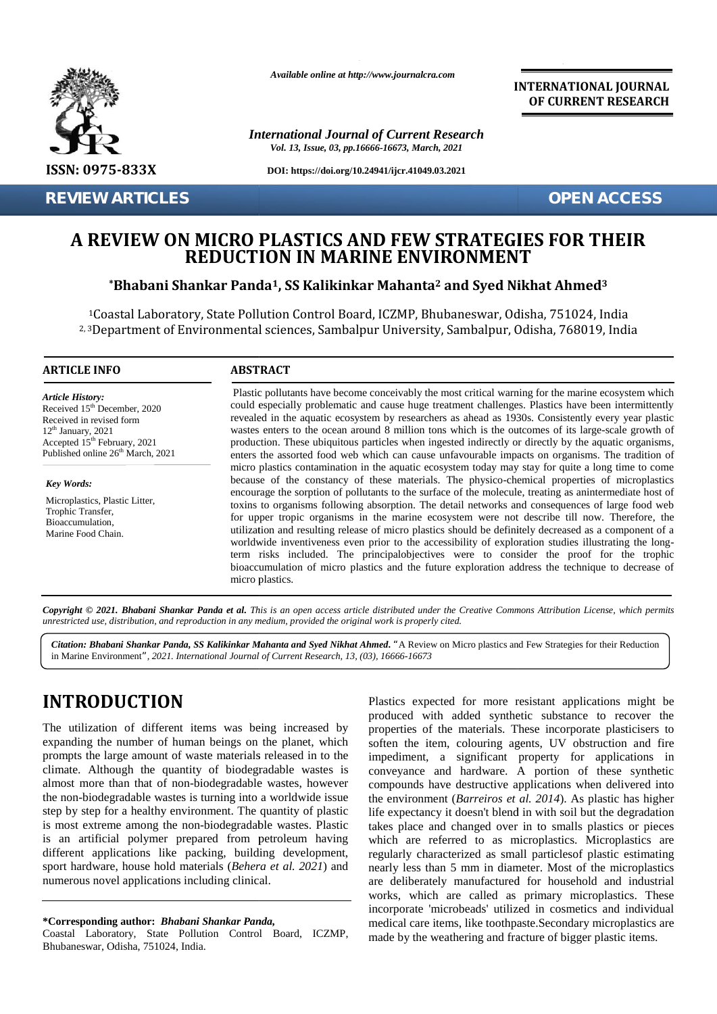

**REVIEW ARTICLES OPEN ACCESS**

*Available online at http://www.journalcra.com*

*International Journal of Current Research Vol. 13, Issue, 03, pp.16666-16673, March, 2021*

**DOI: https://doi.org/10.24941/ijcr.41049.03.2021**

**INTERNATIONAL JOURNAL OF CURRENT RESEARCH**

### **A REVIEW ON MICRO PLASTICS AND FEW STRATEGIES FOR THEIR A REVIEW REDUCTION ENVIRONMENTREDUCTION IN MARINE ENVIRONMENT**

### $^{\ast}$ Bhabani Shankar Panda<sup>1</sup>, SS Kalikinkar Mahanta<sup>2</sup> and Syed Nikhat Ahmed<sup>3</sup>

<sup>1</sup>Coastal Laboratory, State Pollution Control Board, ICZMP, Bhubaneswar, Odisha, 751024, India <sup>1</sup>Coastal Laboratory, State Pollution Control Board, ICZMP, Bhubaneswar, Odisha, 751024, India<br><sup>2, 3</sup>Department of Environmental sciences, Sambalpur University, Sambalpur, Odisha, 768019, India

### **ARTICLE INFO ABSTRACT ARTICLE ABSTRACT**

*Article History: Article History:* Received  $15<sup>th</sup>$  December, 2020 Received 15 December, 2020<br>Received in revised form  $12<sup>th</sup> January, 2021$ Received in revised form<br>  $12^{\text{th}}$  January, 2021 (Received 15<sup>th</sup> February, 2021 (Received 15<sup>th</sup> February, 2021 Published online  $26<sup>th</sup>$  March, 2021 **REVIEW ON MICRO FREDUCTI**<br> **REVIEW ON MICRO FREDUCTI**<br>
<sup>1</sup> Coastal Laboratory, State Pollu<br>
<sup>2, 3</sup> Department of Environmental<br>
<sup>2, 3</sup> Department of Environmental<br> **ARTICLE INFO**<br> **ARTICLE INFO**<br> **ARTICLE INFO**<br> **ARTICLE** 

*Key Words:* Microplastics, Plastic Litter, Trophic Transfer, Bioaccumulation, Marine Food Chain.

Plastic pollutants have become conceivably the most critical warning for the marine ecosystem which could especially problematic and cause huge treatment challenges. Plastics have been intermittently revealed in the aquatic ecosystem by researchers as ahead as 1930s. Consistently every year plastic wastes enters to the ocean around 8 million tons which is the outcomes of its large-scale growth of production. These ubiquitous particles when ingested indirectly or directly by the aquatic organisms, enters the assorted food web which can cause unfavourable impacts on organisms. The tradition of micro plastics contamination in the aquatic ecosystem today may stay for quite a long time to come because of the constancy of these materials. The physico-chemical properties of microplastics encourage the sorption of pollutants to the surface of the molecule, treating as anintermediate host of toxins to organisms following absorption. The detail networks and consequences of large food web for upper tropic organisms in the marine ecosystem were not describe till now. Therefore, the utilization and resulting release of micro plastics should be definitely decreased as a component of a worldwide inventiveness even prior to the accessibility of exploration studies illustrating the longterm risks included. The principalobjectives were to consider the proof for the trophic bioaccumulation of micro plastics and the future exploration address the technique to decrease of micro plastics. revealed in the aquatic ecosystem by researchers as ahead as 1930s. Consistently every year plas<br>wastes enters to the ocean around 8 million tons which is the outcomes of its large-scale growth<br>production. These ubiquitous change over Microplastics and case the nearly proposed in the secondary of this process regular to the secondary of microplastics regular particular particular particular particular particular particular particular partic For 2020<br>
International Comparator and Specially problematic and revealed in the aquatic ecosyster<br>
V. 2021<br>
International Comparator and Production. These ubiquitous parameters the assorted food web which<br>
Internation in Example 10 Finder Controller Controller Sciences, Sambalpur University:<br>
TRINFO<br>
TRINFO<br>
TRINFO<br>
TRINFO<br>
TRINFO<br>
TRINFO<br>
TRINFO<br>
TRINFO<br>
Plastic pollutants have become conceived<br>
could especially problematic and cause<br>
re

Copyright © 2021. Bhabani Shankar Panda et al. This is an open access article distributed under the Creative Commons Attribution License, which permits **Copyright © 2021. Bhabani Shankar Panda et al.** This is an open access article distributed under the Crea<br>unrestricted use, distribution, and reproduction in any medium, provided the original work is properly cited.

Citation: Bhabani Shankar Panda, SS Kalikinkar Mahanta and Syed Nikhat Ahmed. "A Review on Micro plastics and Few Strategies for their Reduction in Marine Environment*", 2021. International Journal of Current Research, 13, (03), 16666-16673*

# **INTRODUCTION INTRODUCTION**

The utilization of different items was being increased by expanding the number of human beings on the planet, which prompts the large amount of waste materials released in to the climate. Although the quantity of biodegradable wastes is almost more than that of non-biodegradable wastes, however the non-biodegradable wastes is turning into a worldwide issue step by step for a healthy environment. The quantity of plastic is most extreme among the non-biodegradable wastes. Plastic is an artificial polymer prepared from petroleum having different applications like packing, building development, sport hardware, house hold materials (*Behera et al. 2021*) and sport hardware, house hold materials (*Behera et al* numerous novel applications including clinical. The utilization of different items was being increased by<br>expanding the number of human beings on the planet, which<br>prompts the large amount of waste materials released in to the<br>climate. Although the quantity of biodegrad the non-biodegradable wastes is turning into a worldwide issue<br>step by step for a healthy environment. The quantity of plastic<br>is most extreme among the non-biodegradable wastes. Plastic<br>is an artificial polymer prepared f

#### **\*Corresponding author:** *Bhabani Shankar Panda,* **\*Corresponding**

Coastal Laboratory, State Pollution Control Board, ICZMP, Bhubaneswar, Odisha, 751024, India.

Plastics expected for more resistant applications might be produced with added synthetic substance to recover the properties of the materials. These incorporate plasticisers to soften the item, colouring agents, UV obstruction and fire impediment, a significant property for applications in conveyance and hardware. A portion of these synthetic compounds have destructive applications when delivered into the environment (*Barreiros et al. 2014*). As plastic has higher life expectancy it doesn't blend in with soil but the degradation takes place and changed over in to smalls plastics or pieces which are referred to as microplastics. Microplastics are regularly characterized as small particlesof plastic estimating nearly less than 5 mm in diameter. Most of the microplastics are deliberately manufactured for household and industrial works, which are called as primary microplastics. These incorporate 'microbeads' utilized in cosmetics and individual medical care items, like toothpaste.Secondary microplastics are made by the weathering and fracture of bigger plastic items. **INTRODUCTION**<br>
The utilization of different items was being increased by produced with added synthetic substance to recover the<br>
expanding the number of human beings on the planet, which is soften the impediment, a signif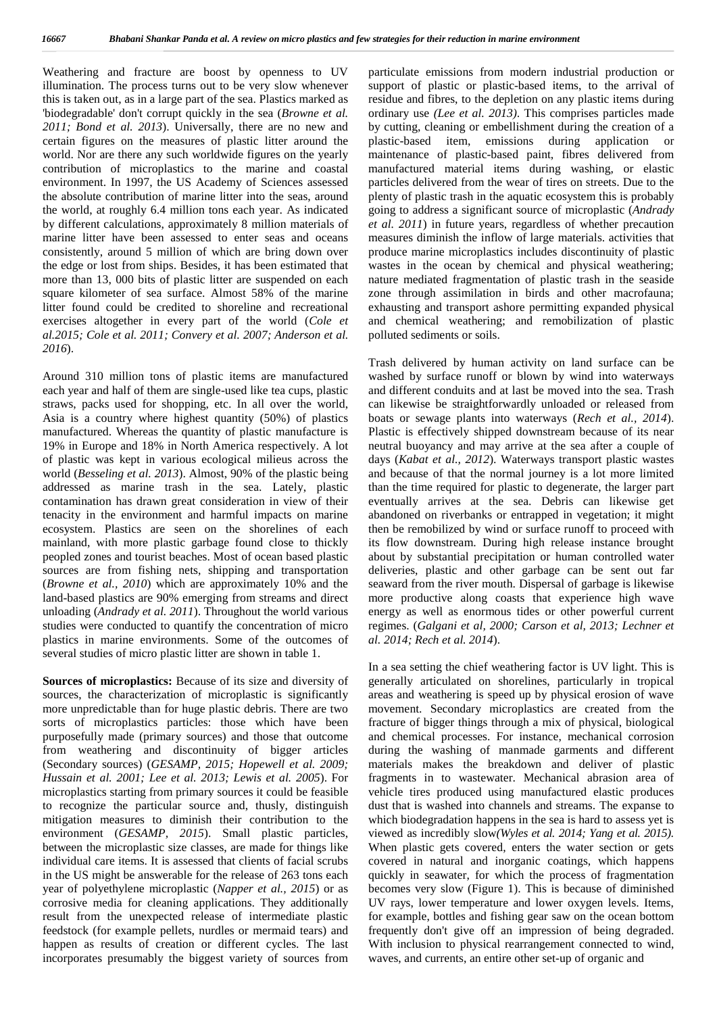Weathering and fracture are boost by openness to UV illumination. The process turns out to be very slow whenever this is taken out, as in a large part of the sea. Plastics marked as 'biodegradable' don't corrupt quickly in the sea (*Browne et al. 2011; Bond et al. 2013*). Universally, there are no new and certain figures on the measures of plastic litter around the world. Nor are there any such worldwide figures on the yearly contribution of microplastics to the marine and coastal environment. In 1997, the US Academy of Sciences assessed the absolute contribution of marine litter into the seas, around the world, at roughly 6.4 million tons each year. As indicated by different calculations, approximately 8 million materials of marine litter have been assessed to enter seas and oceans consistently, around 5 million of which are bring down over the edge or lost from ships. Besides, it has been estimated that more than 13, 000 bits of plastic litter are suspended on each square kilometer of sea surface. Almost 58% of the marine litter found could be credited to shoreline and recreational exercises altogether in every part of the world (*Cole et al.2015; Cole et al. 2011; Convery et al. 2007; Anderson et al. 2016*).

Around 310 million tons of plastic items are manufactured each year and half of them are single-used like tea cups, plastic straws, packs used for shopping, etc. In all over the world, Asia is a country where highest quantity (50%) of plastics manufactured. Whereas the quantity of plastic manufacture is 19% in Europe and 18% in North America respectively. A lot of plastic was kept in various ecological milieus across the world (*Besseling et al. 2013*). Almost, 90% of the plastic being addressed as marine trash in the sea. Lately, plastic contamination has drawn great consideration in view of their tenacity in the environment and harmful impacts on marine ecosystem. Plastics are seen on the shorelines of each mainland, with more plastic garbage found close to thickly peopled zones and tourist beaches. Most of ocean based plastic sources are from fishing nets, shipping and transportation (*Browne et al., 2010*) which are approximately 10% and the land-based plastics are 90% emerging from streams and direct unloading (*Andrady et al. 2011*). Throughout the world various studies were conducted to quantify the concentration of micro plastics in marine environments. Some of the outcomes of several studies of micro plastic litter are shown in table 1.

**Sources of microplastics:** Because of its size and diversity of sources, the characterization of microplastic is significantly more unpredictable than for huge plastic debris. There are two sorts of microplastics particles: those which have been purposefully made (primary sources) and those that outcome from weathering and discontinuity of bigger articles (Secondary sources) (*GESAMP, 2015; Hopewell et al. 2009; Hussain et al. 2001; Lee et al. 2013; Lewis et al. 2005*). For microplastics starting from primary sources it could be feasible to recognize the particular source and, thusly, distinguish mitigation measures to diminish their contribution to the environment (*GESAMP, 2015*). Small plastic particles, between the microplastic size classes, are made for things like individual care items. It is assessed that clients of facial scrubs in the US might be answerable for the release of 263 tons each year of polyethylene microplastic (*Napper et al., 2015*) or as corrosive media for cleaning applications. They additionally result from the unexpected release of intermediate plastic feedstock (for example pellets, nurdles or mermaid tears) and happen as results of creation or different cycles. The last incorporates presumably the biggest variety of sources from

particulate emissions from modern industrial production or support of plastic or plastic-based items, to the arrival of residue and fibres, to the depletion on any plastic items during ordinary use *(Lee et al. 2013)*. This comprises particles made by cutting, cleaning or embellishment during the creation of a plastic-based item, emissions during application or maintenance of plastic-based paint, fibres delivered from manufactured material items during washing, or elastic particles delivered from the wear of tires on streets. Due to the plenty of plastic trash in the aquatic ecosystem this is probably going to address a significant source of microplastic (*Andrady et al. 2011*) in future years, regardless of whether precaution measures diminish the inflow of large materials. activities that produce marine microplastics includes discontinuity of plastic wastes in the ocean by chemical and physical weathering; nature mediated fragmentation of plastic trash in the seaside zone through assimilation in birds and other macrofauna; exhausting and transport ashore permitting expanded physical and chemical weathering; and remobilization of plastic polluted sediments or soils.

Trash delivered by human activity on land surface can be washed by surface runoff or blown by wind into waterways and different conduits and at last be moved into the sea. Trash can likewise be straightforwardly unloaded or released from boats or sewage plants into waterways (*Rech et al., 2014*). Plastic is effectively shipped downstream because of its near neutral buoyancy and may arrive at the sea after a couple of days (*Kabat et al., 2012*). Waterways transport plastic wastes and because of that the normal journey is a lot more limited than the time required for plastic to degenerate, the larger part eventually arrives at the sea. Debris can likewise get abandoned on riverbanks or entrapped in vegetation; it might then be remobilized by wind or surface runoff to proceed with its flow downstream. During high release instance brought about by substantial precipitation or human controlled water deliveries, plastic and other garbage can be sent out far seaward from the river mouth. Dispersal of garbage is likewise more productive along coasts that experience high wave energy as well as enormous tides or other powerful current regimes. (*Galgani et al, 2000; Carson et al, 2013; Lechner et al. 2014; Rech et al. 2014*).

In a sea setting the chief weathering factor is UV light. This is generally articulated on shorelines, particularly in tropical areas and weathering is speed up by physical erosion of wave movement. Secondary microplastics are created from the fracture of bigger things through a mix of physical, biological and chemical processes. For instance, mechanical corrosion during the washing of manmade garments and different materials makes the breakdown and deliver of plastic fragments in to wastewater. Mechanical abrasion area of vehicle tires produced using manufactured elastic produces dust that is washed into channels and streams. The expanse to which biodegradation happens in the sea is hard to assess yet is viewed as incredibly slow*(Wyles et al. 2014; Yang et al. 2015)*. When plastic gets covered, enters the water section or gets covered in natural and inorganic coatings, which happens quickly in seawater, for which the process of fragmentation becomes very slow (Figure 1). This is because of diminished UV rays, lower temperature and lower oxygen levels. Items, for example, bottles and fishing gear saw on the ocean bottom frequently don't give off an impression of being degraded. With inclusion to physical rearrangement connected to wind, waves, and currents, an entire other set-up of organic and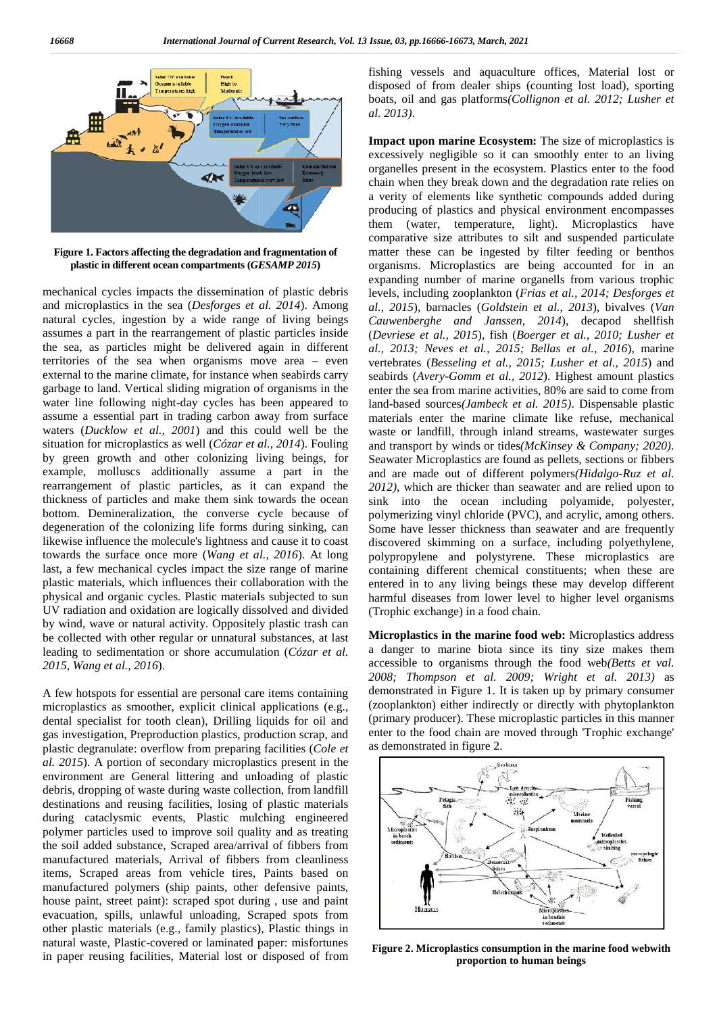

**Figure 1. Factors affecting the degradation and fragmentation of plastic in different ocean compartments (***GESAMP 2015***) theand fragmentation in** 

mechanical cycles impacts the dissemination of plastic debris and microplastics in the sea (*Desforges et al. 2014*). Among natural cycles, ingestion by a wide range of living beings assumes a part in the rearrangement of plastic particles inside the sea, as particles might be delivered again in different territories of the sea when organisms move area – even external to the marine climate, for instance when seabirds carry garbage to land. Vertical sliding migration of organisms in the water line following night-day cycles has been appeared to assume a essential part in trading carbon away from surface waters (*Ducklow et al., 2001*) and this could well be the situation for microplastics as well (*Cózar et al., 2014*). Fouling by green growth and other colonizing living beings, for example, molluscs additionally assume a part in the rearrangement of plastic particles, as it can expand the thickness of particles and make them sink towards the ocean bottom. Demineralization, the converse cycle because of degeneration of the colonizing life forms during sinking, can by green growth and other colonizing living beings, for<br>example, molluscs additionally assume a part in the<br>rearrangement of plastic particles, as it can expand the<br>thickness of particles and make them sink towards the oce towards the surface once more (*Wang et al., 2016*). At long towards the surface once more (*Wang et al., 2016*). At long poly last, a few mechanical cycles impact the size range of marine con plastic materials, which influences their collaboration with the physical and organic cycles. Plastic materials subjected to sun UV radiation and oxidation are logically dissolved and divided by wind, wave or natural activity. Oppositely plastic trash can be collected with other regular or unnatural substances, at last leading to sedimentation or shore accumulation (*Cózar et al. 2015, Wang et al., 2016*). mechanical cycles impacts the dissemination of plastic debris<br>and microplastics in the sea (*Desforges et al. 2014*). Among<br>natural cycles, ingestion by a wide range of living beings<br>assumes a part in the rearrangement of plastic materials, which influences their collaboration with physical and organic cycles. Plastic materials subjected to UV radiation and oxidation are logically dissolved and dividely wind, wave or natural activity. Oppos

A few hotspots for essential are personal care items containing microplastics as smoother, explicit clinical applications (e.g., dental specialist for tooth clean), Drilling liquids for oil and gas investigation, Preproduction plastics, production scrap, and A few hotspots for essential are personal care items containing<br>microplastics as smoother, explicit clinical applications (e.g.,<br>dental specialist for tooth clean), Drilling liquids for oil and<br>gas investigation, Preproduc *al. 2015*). A portion of secondary microplastics present in the environment are General littering and unloading of plastic debris, dropping of waste during waste collection, from landfill destinations and reusing facilities, losing of plastic materials during cataclysmic events, Plastic mulching engineered polymer particles used to improve soil quality and as treating the soil added substance, Scraped area/arrival of fibbers from manufactured materials, Arrival of fibbers from cleanliness items, Scraped areas from vehicle tires, Paints based on manufactured polymers (ship paints, other defensive paints, house paint, street paint): scraped spot during , use and paint evacuation, spills, unlawful unloading, Scraped spots from other plastic materials (e.g., family plastics), Plastic things in evacuation, spills, unlawful unloading, Scraped spots from other plastic materials (e.g., family plastics), Plastic things in natural waste, Plastic-covered or laminated paper: misfortunes in paper reusing facilities, Material lost or disposed of from *al. 2015*). A portion of secondary microplastics present in the environment are General littering and unloading of plastic debris, dropping of waste during waste collection, from landfill destinations and reusing faciliti

fishing vessels and aquaculture offices, Material lost or disposed of from dealer ships (counting lost load), sporting boats, oil and gas platforms*(Collignon et al. 2012; Lusher et al. 2013)*.

**Impact upon marine Ecosystem:** The size of microplastics is excessively negligible so it can smoothly enter to an living organelles present in the ecosystem. Plastics enter to the food chain when they break down and the degradation rate relies on a verity of elements like synthetic compounds added during producing of plastics and physical environment encompasses them (water, temperature, light). Microplastics have comparative size attributes to silt and suspended particulate matter these can be ingested by filter feeding or benthos organisms. Microplastics are being accounted for in an expanding number of marine organells from various trophic levels, including zooplankton (*Frias et al., 2014; Desforges et al., 2015*), barnacles (*Goldstein et al., 2013*), bivalves (*Van Cauwenberghe and Janssen, 2014; Desforges et al., 2015*), barnacles (*Goldstein et al., 2013*), bivalves (*Van Cauwenberghe and Janssen, 2014*), decapod shellfish (*Devriese et al., 2015*), fish (*Boerger et al., 2010; Lusher et al., 2013; Neves et al., 2015; Bellas et al., 2016*), marine vertebrates (*Besseling et al., 2015; Lusher et al., 2015*) and seabirds (*Avery-Gomm et al., 2012*). Highest amount plastics enter the sea from marine activities, 80% are said to come from land-based sources*(Jambeck et al. 2015)*. Dispensable plastic materials enter the marine climate like refuse, mechanical waste or landfill, through inland streams, wastewater surges and transport by winds or tides(*McKinsey & Company; 2020*). Seawater Microplastics are found as pellets, sections or fibbers and are made out of different polymers(*Hidalgo-Ruz et al. 2012)*, which are thicker than seawater and are relied upon to sink into the ocean including polyamide, polyester, polymerizing vinyl chloride (PVC), and acrylic, among others. Some have lesser thickness than seawater and are frequently discovered skimming on a surface, including polyethylene, polypropylene and polystyrene. These microplastics are containing different chemical constituents; when these are entered in to any living beings these may develop different harmful diseases from lower level to higher level organisms (Trophic exchange) in a food chain. natural in the continue of the state of the state of the state of the state of the state of the state of the state of the state of the state of the state of the state of the state of the state of the state of the state of If the synthetic compounds added during<br>the synthetic compounds added during<br>types (water, temperature, light). Microplastics have<br>ative size attributes to silt and suspended particulate<br>these can be ingested by filter fee *2015*), fish (*Boerger et al., 2010; Lusher et al., 2015; Bellas et al., 2016), marine*<br>*2015; Bellas et al., 2016), marine*<br>*ling et al., 2015; Lusher et al., 2015*) and enter the sea from marine activities, 80% are said t<br>land-based sources(*Jambeck et al. 2015*). Disper<br>materials enter the marine climate like refuse, *2012*), which are thicker than seawater and are relied u<br>sink into the ocean including polyamide, po<br>polymerizing vinyl chloride (PVC), and acrylic, among<br>Some have lesser thickness than seawater and are free<br>discovered s **Figure 2. Microsoftational Action Control and Control and Control and Control and Control and Control and Control and Control and Control and Control and Control and Control and Control and Control and Control and Control** 

**Microplastics in the marine food web:** Microplastics address a danger to marine biota since its tiny size makes them a danger to marine biota since its tiny size makes them accessible to organisms through the food web(*Betts et val. 2008; Thompson et al. 2009; Wright et al. 2013)* as *Thompson 2013)*demonstrated in Figure 1. It is taken up by primary consumer (zooplankton) either indirectly or directly with phytoplankton (primary producer). These microplastic particles in this manner enter to the food chain are moved through 'Trophic exchange' as demonstrated in figure 2. demonstrated in Figure 1. It is taken up by primary consumer (zooplankton) either indirectly or directly with phytoplankton (primary producer). These microplastic particles in this manner enter to the food chain are moved



**Figure 2. Microplastics consumption in the marine food webwith proportion to human beings**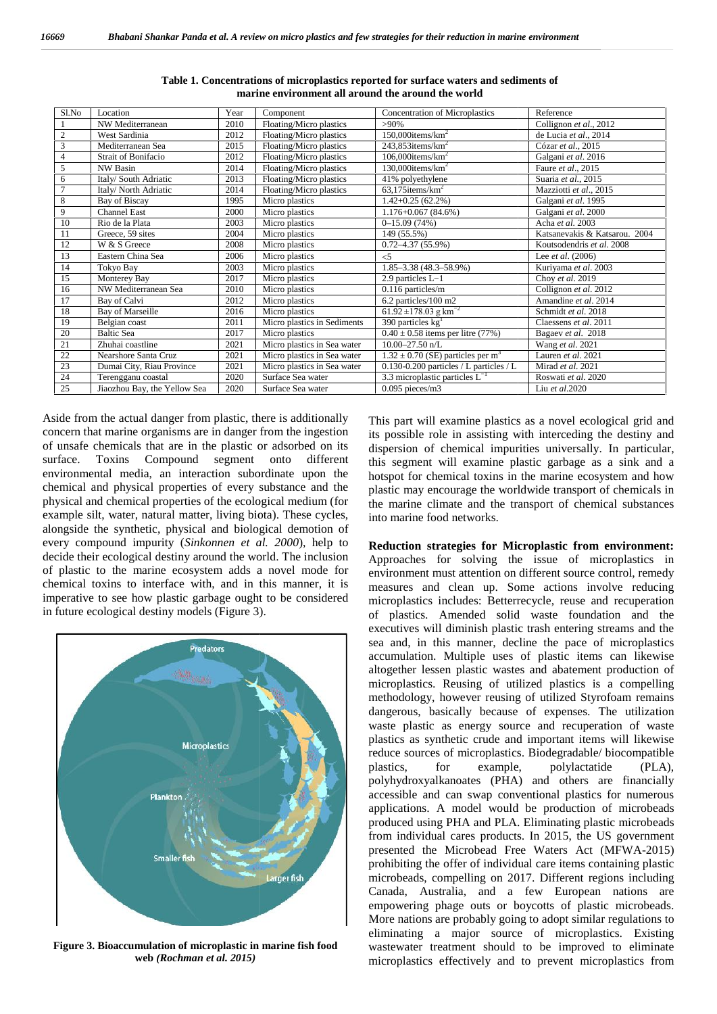|                                                                                                                                                                                                                                                                                                                                                                   |                                                 |              | marine environment all around the around the world | Table 1. Concentrations of microplastics reported for surface waters and sediments of                                                                                                                                                                                                                                                                                                                                                                                                                                                                                                                                                                                                                                                                                                                                                                                                                                                                                                                                                                                                                                                                                                                                                                                                                                                                                                                                                                                |                                                         |
|-------------------------------------------------------------------------------------------------------------------------------------------------------------------------------------------------------------------------------------------------------------------------------------------------------------------------------------------------------------------|-------------------------------------------------|--------------|----------------------------------------------------|----------------------------------------------------------------------------------------------------------------------------------------------------------------------------------------------------------------------------------------------------------------------------------------------------------------------------------------------------------------------------------------------------------------------------------------------------------------------------------------------------------------------------------------------------------------------------------------------------------------------------------------------------------------------------------------------------------------------------------------------------------------------------------------------------------------------------------------------------------------------------------------------------------------------------------------------------------------------------------------------------------------------------------------------------------------------------------------------------------------------------------------------------------------------------------------------------------------------------------------------------------------------------------------------------------------------------------------------------------------------------------------------------------------------------------------------------------------------|---------------------------------------------------------|
| Sl.No                                                                                                                                                                                                                                                                                                                                                             | Location                                        | Year         | Component                                          | <b>Concentration of Microplastics</b>                                                                                                                                                                                                                                                                                                                                                                                                                                                                                                                                                                                                                                                                                                                                                                                                                                                                                                                                                                                                                                                                                                                                                                                                                                                                                                                                                                                                                                | Reference                                               |
| 1                                                                                                                                                                                                                                                                                                                                                                 | NW Mediterranean                                | 2010         | Floating/Micro plastics                            | $>90\%$                                                                                                                                                                                                                                                                                                                                                                                                                                                                                                                                                                                                                                                                                                                                                                                                                                                                                                                                                                                                                                                                                                                                                                                                                                                                                                                                                                                                                                                              | Collignon et al., 2012                                  |
| $\sqrt{2}$<br>3                                                                                                                                                                                                                                                                                                                                                   | West Sardinia<br>Mediterranean Sea              | 2012<br>2015 | Floating/Micro plastics<br>Floating/Micro plastics | $150,000$ items/km <sup>2</sup><br>$243,853$ items/km <sup>2</sup>                                                                                                                                                                                                                                                                                                                                                                                                                                                                                                                                                                                                                                                                                                                                                                                                                                                                                                                                                                                                                                                                                                                                                                                                                                                                                                                                                                                                   | de Lucia et al., 2014<br>Cózar et al., 2015             |
| $\overline{4}$                                                                                                                                                                                                                                                                                                                                                    | Strait of Bonifacio                             | 2012         | Floating/Micro plastics                            | $106,000$ items/km <sup>2</sup>                                                                                                                                                                                                                                                                                                                                                                                                                                                                                                                                                                                                                                                                                                                                                                                                                                                                                                                                                                                                                                                                                                                                                                                                                                                                                                                                                                                                                                      | Galgani et al. 2016                                     |
| 5                                                                                                                                                                                                                                                                                                                                                                 | NW Basin                                        | 2014         | Floating/Micro plastics                            | $130,000$ items/km <sup>2</sup>                                                                                                                                                                                                                                                                                                                                                                                                                                                                                                                                                                                                                                                                                                                                                                                                                                                                                                                                                                                                                                                                                                                                                                                                                                                                                                                                                                                                                                      | Faure et al., 2015                                      |
| 6                                                                                                                                                                                                                                                                                                                                                                 | Italy/ South Adriatic                           | 2013         | Floating/Micro plastics                            | 41% polyethylene                                                                                                                                                                                                                                                                                                                                                                                                                                                                                                                                                                                                                                                                                                                                                                                                                                                                                                                                                                                                                                                                                                                                                                                                                                                                                                                                                                                                                                                     | Suaria et al., 2015                                     |
| $\tau$<br>$\,$ 8 $\,$                                                                                                                                                                                                                                                                                                                                             | Italy/ North Adriatic<br>Bay of Biscay          | 2014<br>1995 | Floating/Micro plastics<br>Micro plastics          | $63,175$ items/km <sup>2</sup><br>$1.42 + 0.25(62.2\%)$                                                                                                                                                                                                                                                                                                                                                                                                                                                                                                                                                                                                                                                                                                                                                                                                                                                                                                                                                                                                                                                                                                                                                                                                                                                                                                                                                                                                              | Mazziotti et al., 2015<br>Galgani et al. 1995           |
| 9                                                                                                                                                                                                                                                                                                                                                                 | Channel East                                    | 2000         | Micro plastics                                     | $1.176 + 0.067(84.6%)$                                                                                                                                                                                                                                                                                                                                                                                                                                                                                                                                                                                                                                                                                                                                                                                                                                                                                                                                                                                                                                                                                                                                                                                                                                                                                                                                                                                                                                               | Galgani et al. 2000                                     |
| 10                                                                                                                                                                                                                                                                                                                                                                | Rio de la Plata                                 | 2003         | Micro plastics                                     | $0-15.09(74%)$                                                                                                                                                                                                                                                                                                                                                                                                                                                                                                                                                                                                                                                                                                                                                                                                                                                                                                                                                                                                                                                                                                                                                                                                                                                                                                                                                                                                                                                       | Acha et al. 2003                                        |
| 11                                                                                                                                                                                                                                                                                                                                                                | Greece, 59 sites                                | 2004         | Micro plastics                                     | 149 (55.5%)                                                                                                                                                                                                                                                                                                                                                                                                                                                                                                                                                                                                                                                                                                                                                                                                                                                                                                                                                                                                                                                                                                                                                                                                                                                                                                                                                                                                                                                          | Katsanevakis & Katsarou. 2004                           |
| 12<br>13                                                                                                                                                                                                                                                                                                                                                          | W & S Greece<br>Eastern China Sea               | 2008<br>2006 | Micro plastics<br>Micro plastics                   | $0.72 - 4.37(55.9\%)$<br>$<$ 5                                                                                                                                                                                                                                                                                                                                                                                                                                                                                                                                                                                                                                                                                                                                                                                                                                                                                                                                                                                                                                                                                                                                                                                                                                                                                                                                                                                                                                       | Koutsodendris et al. 2008<br>Lee <i>et al.</i> $(2006)$ |
| 14                                                                                                                                                                                                                                                                                                                                                                | Tokyo Bay                                       | 2003         | Micro plastics                                     | $1.85 - 3.38$ (48.3-58.9%)                                                                                                                                                                                                                                                                                                                                                                                                                                                                                                                                                                                                                                                                                                                                                                                                                                                                                                                                                                                                                                                                                                                                                                                                                                                                                                                                                                                                                                           | Kuriyama et al. 2003                                    |
| 15                                                                                                                                                                                                                                                                                                                                                                | Monterey Bay                                    | 2017         | Micro plastics                                     | 2.9 particles L-1                                                                                                                                                                                                                                                                                                                                                                                                                                                                                                                                                                                                                                                                                                                                                                                                                                                                                                                                                                                                                                                                                                                                                                                                                                                                                                                                                                                                                                                    | Choy et al. 2019                                        |
| 16                                                                                                                                                                                                                                                                                                                                                                | NW Mediterranean Sea                            | 2010         | Micro plastics                                     | 0.116 particles/m                                                                                                                                                                                                                                                                                                                                                                                                                                                                                                                                                                                                                                                                                                                                                                                                                                                                                                                                                                                                                                                                                                                                                                                                                                                                                                                                                                                                                                                    | Collignon et al. 2012                                   |
| 17                                                                                                                                                                                                                                                                                                                                                                | Bay of Calvi                                    | 2012         | Micro plastics                                     | 6.2 particles/100 m2                                                                                                                                                                                                                                                                                                                                                                                                                                                                                                                                                                                                                                                                                                                                                                                                                                                                                                                                                                                                                                                                                                                                                                                                                                                                                                                                                                                                                                                 | Amandine et al. 2014                                    |
| 18<br>19                                                                                                                                                                                                                                                                                                                                                          | Bay of Marseille<br>Belgian coast               | 2016<br>2011 | Micro plastics<br>Micro plastics in Sediments      | 61.92 ± 178.03 g $\text{km}^{-2}$<br>390 particles $kg1$                                                                                                                                                                                                                                                                                                                                                                                                                                                                                                                                                                                                                                                                                                                                                                                                                                                                                                                                                                                                                                                                                                                                                                                                                                                                                                                                                                                                             | Schmidt et al. 2018<br>Claessens et al. 2011            |
| 20                                                                                                                                                                                                                                                                                                                                                                | <b>Baltic Sea</b>                               | 2017         | Micro plastics                                     | $0.40 \pm 0.58$ items per litre (77%)                                                                                                                                                                                                                                                                                                                                                                                                                                                                                                                                                                                                                                                                                                                                                                                                                                                                                                                                                                                                                                                                                                                                                                                                                                                                                                                                                                                                                                | Bagaev et al. 2018                                      |
| 21                                                                                                                                                                                                                                                                                                                                                                | Zhuhai coastline                                | 2021         | Micro plastics in Sea water                        | $10.00 - 27.50$ n/L                                                                                                                                                                                                                                                                                                                                                                                                                                                                                                                                                                                                                                                                                                                                                                                                                                                                                                                                                                                                                                                                                                                                                                                                                                                                                                                                                                                                                                                  | Wang et al. 2021                                        |
| $22\,$                                                                                                                                                                                                                                                                                                                                                            | Nearshore Santa Cruz                            | 2021         | Micro plastics in Sea water                        | $1.32 \pm 0.70$ (SE) particles per m <sup>3</sup>                                                                                                                                                                                                                                                                                                                                                                                                                                                                                                                                                                                                                                                                                                                                                                                                                                                                                                                                                                                                                                                                                                                                                                                                                                                                                                                                                                                                                    | Lauren et al. 2021                                      |
| 23<br>24                                                                                                                                                                                                                                                                                                                                                          | Dumai City, Riau Province<br>Terengganu coastal | 2021<br>2020 | Micro plastics in Sea water                        | 0.130-0.200 particles / L particles / L<br>3.3 microplastic particles $L^{-1}$                                                                                                                                                                                                                                                                                                                                                                                                                                                                                                                                                                                                                                                                                                                                                                                                                                                                                                                                                                                                                                                                                                                                                                                                                                                                                                                                                                                       | Mirad et al. 2021                                       |
| 25                                                                                                                                                                                                                                                                                                                                                                | Jiaozhou Bay, the Yellow Sea                    | 2020         | Surface Sea water<br>Surface Sea water             | $0.095$ pieces/m3                                                                                                                                                                                                                                                                                                                                                                                                                                                                                                                                                                                                                                                                                                                                                                                                                                                                                                                                                                                                                                                                                                                                                                                                                                                                                                                                                                                                                                                    | Roswati et al. 2020<br>Liu et al.2020                   |
| very compound impurity (Sinkonnen et al. 2000), help to<br>ecide their ecological destiny around the world. The inclusion<br>plastic to the marine ecosystem adds a novel mode for<br>nemical toxins to interface with, and in this manner, it is<br>apperative to see how plastic garbage ought to be considered<br>future ecological destiny models (Figure 3). |                                                 |              |                                                    | Reduction strategies for Microplastic from environment:<br>Approaches for solving the issue of microplastics in<br>environment must attention on different source control, remedy<br>measures and clean up. Some actions involve reducing<br>microplastics includes: Betterrecycle, reuse and recuperation<br>of plastics. Amended solid waste foundation and the                                                                                                                                                                                                                                                                                                                                                                                                                                                                                                                                                                                                                                                                                                                                                                                                                                                                                                                                                                                                                                                                                                    |                                                         |
| <b>Predators</b><br><b>Microplastics</b><br>Plankton<br>Smaller fish<br>.arger fish                                                                                                                                                                                                                                                                               |                                                 |              |                                                    | executives will diminish plastic trash entering streams and the<br>sea and, in this manner, decline the pace of microplastics<br>accumulation. Multiple uses of plastic items can likewise<br>altogether lessen plastic wastes and abatement production of<br>microplastics. Reusing of utilized plastics is a compelling<br>methodology, however reusing of utilized Styrofoam remains<br>dangerous, basically because of expenses. The utilization<br>waste plastic as energy source and recuperation of waste<br>plastics as synthetic crude and important items will likewise<br>reduce sources of microplastics. Biodegradable/ biocompatible<br>for<br>example,<br>polylactatide<br>plastics,<br>(PLA),<br>polyhydroxyalkanoates (PHA) and others are financially<br>accessible and can swap conventional plastics for numerous<br>applications. A model would be production of microbeads<br>produced using PHA and PLA. Eliminating plastic microbeads<br>from individual cares products. In 2015, the US government<br>presented the Microbead Free Waters Act (MFWA-2015)<br>prohibiting the offer of individual care items containing plastic<br>microbeads, compelling on 2017. Different regions including<br>Canada, Australia, and a few European nations are<br>empowering phage outs or boycotts of plastic microbeads.<br>More nations are probably going to adopt similar regulations to<br>eliminating a major source of microplastics. Existing |                                                         |
|                                                                                                                                                                                                                                                                                                                                                                   |                                                 |              |                                                    |                                                                                                                                                                                                                                                                                                                                                                                                                                                                                                                                                                                                                                                                                                                                                                                                                                                                                                                                                                                                                                                                                                                                                                                                                                                                                                                                                                                                                                                                      |                                                         |

**Table 1. Concentrations of microplastics reported for surface waters and sediments of marine environment all around the around the world**



**Figure 3. Bioaccumulation of microplastic in marine fish food** wa **web** *(Rochman et al. 2015)*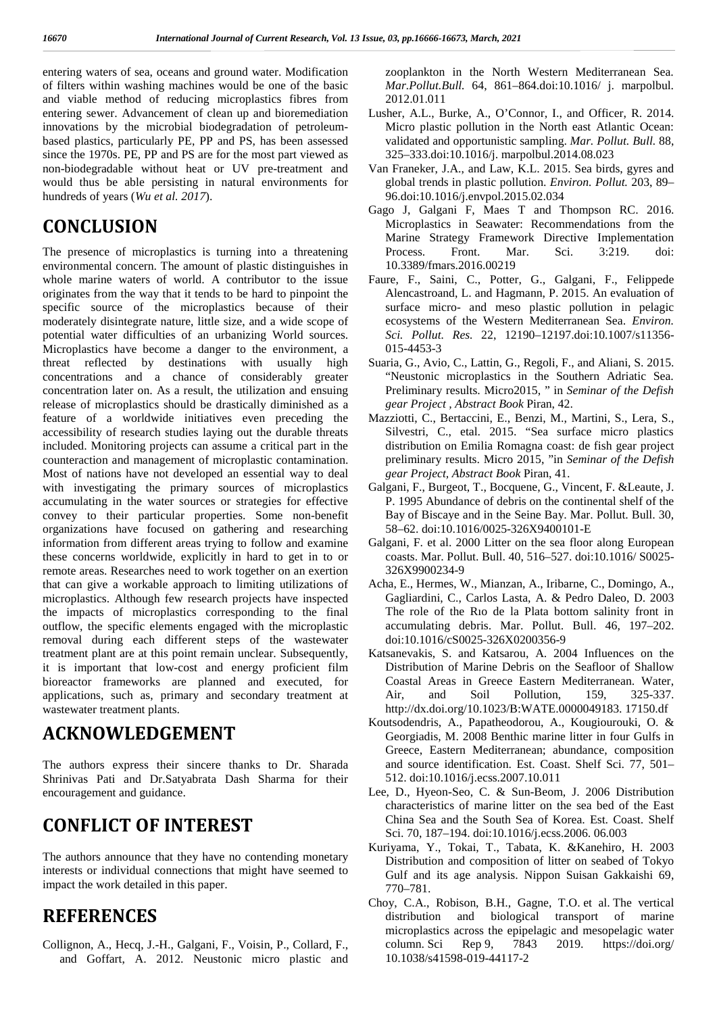entering waters of sea, oceans and ground water. Modification of filters within washing machines would be one of the basic and viable method of reducing microplastics fibres from entering sewer. Advancement of clean up and bioremediation innovations by the microbial biodegradation of petroleum based plastics, particularly PE, PP and PS, has been assessed since the 1970s. PE, PP and PS are for the most part viewed as non-biodegradable without heat or UV pre-treatment and would thus be able persisting in natural environments for hundreds of years (*Wu et al. 2017*).

### **CONCLUSION**

The presence of microplastics is turning into a threatening Process. environmental concern. The amount of plastic distinguishes in whole marine waters of world. A contributor to the issue originates from the way that it tends to be hard to pinpoint the specific source of the microplastics because of their moderately disintegrate nature, little size, and a wide scope of potential water difficulties of an urbanizing World sources. Microplastics have become a danger to the environment, a threat reflected by destinations with usually high concentrations and a chance of considerably greater concentration later on. As a result, the utilization and ensuing release of microplastics should be drastically diminished as a feature of a worldwide initiatives even preceding the accessibility of research studies laying out the durable threats included. Monitoring projects can assume a critical part in the counteraction and management of microplastic contamination. Most of nations have not developed an essential way to deal with investigating the primary sources of microplastics accumulating in the water sources or strategies for effective convey to their particular properties. Some non-benefit organizations have focused on gathering and researching information from different areas trying to follow and examine these concerns worldwide, explicitly in hard to get in to or remote areas. Researches need to work together on an exertion that can give a workable approach to limiting utilizations of microplastics. Although few research projects have inspected the impacts of microplastics corresponding to the final outflow, the specific elements engaged with the microplastic removal during each different steps of the wastewater treatment plant are at this point remain unclear. Subsequently, it is important that low-cost and energy proficient film bioreactor frameworks are planned and executed, for applications, such as, primary and secondary treatment at wastewater treatment plants.

## **ACKNOWLEDGEMENT**

The authors express their sincere thanks to Dr. Sharada Shrinivas Pati and Dr.Satyabrata Dash Sharma for their encouragement and guidance.

## **CONFLICT OF INTEREST**

The authors announce that they have no contending monetary interests or individual connections that might have seemed to impact the work detailed in this paper.

### **REFERENCES**

Collignon, A., Hecq, J.-H., Galgani, F., Voisin, P., Collard, F., and Goffart, A. 2012. Neustonic micro plastic and zooplankton in the North Western Mediterranean Sea. *Mar.Pollut.Bull.* 64, 861–864.doi:10.1016/ j. marpolbul. 2012.01.011

- Lusher, A.L., Burke, A., O'Connor, I., and Officer, R. 2014. Micro plastic pollution in the North east Atlantic Ocean: validated and opportunistic sampling. *Mar. Pollut. Bull.* 88, 325–333.doi:10.1016/j. marpolbul.2014.08.023
- Van Franeker, J.A., and Law, K.L. 2015. Sea birds, gyres and global trends in plastic pollution. *Environ. Pollut.* 203, 89– 96.doi:10.1016/j.envpol.2015.02.034
- Gago J, Galgani F, Maes T and Thompson RC. 2016. Microplastics in Seawater: Recommendations from the Marine Strategy Framework Directive Implementation Process. Front. Mar. Sci. 3:219. doi: 10.3389/fmars.2016.00219
- Faure, F., Saini, C., Potter, G., Galgani, F., Felippede Alencastroand, L. and Hagmann, P. 2015. An evaluation of surface micro- and meso plastic pollution in pelagic ecosystems of the Western Mediterranean Sea. *Environ. Sci. Pollut. Res.* 22, 12190–12197.doi:10.1007/s11356- 015-4453-3
- Suaria, G., Avio, C., Lattin, G., Regoli, F., and Aliani, S. 2015. "Neustonic microplastics in the Southern Adriatic Sea. Preliminary results. Micro2015, " in *Seminar of the Defish gear Project , Abstract Book* Piran, 42.
- Mazziotti, C., Bertaccini, E., Benzi, M., Martini, S., Lera, S., Silvestri, C., etal. 2015. "Sea surface micro plastics distribution on Emilia Romagna coast: de fish gear project preliminary results. Micro 2015, "in *Seminar of the Defish gear Project, Abstract Book* Piran, 41.
- Galgani, F., Burgeot, T., Bocquene, G., Vincent, F. &Leaute, J. P. 1995 Abundance of debris on the continental shelf of the Bay of Biscaye and in the Seine Bay. Mar. Pollut. Bull. 30, 58–62. doi:10.1016/0025-326X9400101-E
- Galgani, F. et al. 2000 Litter on the sea floor along European coasts. Mar. Pollut. Bull. 40, 516–527. doi:10.1016/ S0025- 326X9900234-9
- Acha, E., Hermes, W., Mianzan, A., Iribarne, C., Domingo, A., Gagliardini, C., Carlos Lasta, A. & Pedro Daleo, D. 2003 The role of the Rıo de la Plata bottom salinity front in accumulating debris. Mar. Pollut. Bull. 46, 197–202. doi:10.1016/cS0025-326X0200356-9
- Katsanevakis, S. and Katsarou, A. 2004 Influences on the Distribution of Marine Debris on the Seafloor of Shallow Coastal Areas in Greece Eastern Mediterranean. Water, Air, and Soil Pollution, 159, 325-337. http://dx.doi.org/10.1023/B:WATE.0000049183. 17150.df
- Koutsodendris, A., Papatheodorou, A., Kougiourouki, O. & Georgiadis, M. 2008 Benthic marine litter in four Gulfs in Greece, Eastern Mediterranean; abundance, composition and source identification. Est. Coast. Shelf Sci. 77, 501– 512. doi:10.1016/j.ecss.2007.10.011
- Lee, D., Hyeon-Seo, C. & Sun-Beom, J. 2006 Distribution characteristics of marine litter on the sea bed of the East China Sea and the South Sea of Korea. Est. Coast. Shelf Sci. 70, 187–194. doi:10.1016/j.ecss.2006. 06.003
- Kuriyama, Y., Tokai, T., Tabata, K. &Kanehiro, H. 2003 Distribution and composition of litter on seabed of Tokyo Gulf and its age analysis. Nippon Suisan Gakkaishi 69, 770–781.
- Choy, C.A., Robison, B.H., Gagne, T.O. et al. The vertical distribution and biological transport of marine microplastics across the epipelagic and mesopelagic water column. Sci Rep 9, 7843 2019. https://doi.org/ 10.1038/s41598-019-44117-2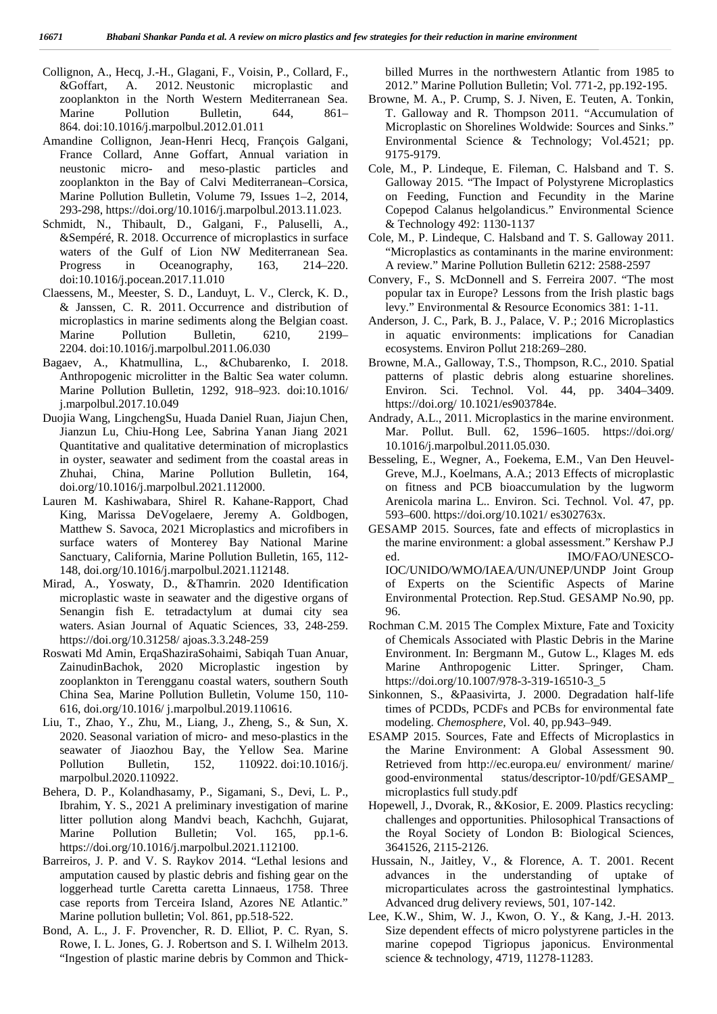- Collignon, A., Hecq, J.-H., Glagani, F., Voisin, P., Collard, F., &Goffart, A. 2012. Neustonic microplastic and zooplankton in the North Western Mediterranean Sea. Marine Pollution Bulletin, 644, 861– 864. doi:10.1016/j.marpolbul.2012.01.011
- Amandine Collignon, Jean-Henri Hecq, François Galgani, France Collard, Anne Goffart, Annual variation in neustonic micro- and meso-plastic particles and zooplankton in the Bay of Calvi Mediterranean–Corsica, Marine Pollution Bulletin, Volume 79, Issues 1–2, 2014, 293-298, https://doi.org/10.1016/j.marpolbul.2013.11.023.
- Schmidt, N., Thibault, D., Galgani, F., Paluselli, A., &Sempéré, R. 2018. Occurrence of microplastics in surface waters of the Gulf of Lion NW Mediterranean Sea. Progress in Oceanography, 163, 214–220. doi:10.1016/j.pocean.2017.11.010
- Claessens, M., Meester, S. D., Landuyt, L. V., Clerck, K. D., & Janssen, C. R. 2011. Occurrence and distribution of microplastics in marine sediments along the Belgian coast. Marine Pollution Bulletin, 6210, 2199– 2204. doi:10.1016/j.marpolbul.2011.06.030
- Bagaev, A., Khatmullina, L., &Chubarenko, I. 2018. Anthropogenic microlitter in the Baltic Sea water column. Marine Pollution Bulletin, 1292, 918–923. doi:10.1016/ j.marpolbul.2017.10.049
- Duojia Wang, LingchengSu, Huada Daniel Ruan, Jiajun Chen, Jianzun Lu, Chiu-Hong Lee, Sabrina Yanan Jiang 2021 Quantitative and qualitative determination of microplastics in oyster, seawater and sediment from the coastal areas in Zhuhai, China, Marine Pollution Bulletin, 164, doi.org/10.1016/j.marpolbul.2021.112000.
- Lauren M. Kashiwabara, Shirel R. Kahane-Rapport, Chad King, Marissa DeVogelaere, Jeremy A. Goldbogen, Matthew S. Savoca, 2021 Microplastics and microfibers in surface waters of Monterey Bay National Marine Sanctuary, California, Marine Pollution Bulletin, 165, 112- 148, doi.org/10.1016/j.marpolbul.2021.112148.
- Mirad, A., Yoswaty, D., &Thamrin. 2020 Identification microplastic waste in seawater and the digestive organs of Senangin fish E. tetradactylum at dumai city sea waters. Asian Journal of Aquatic Sciences, 33, 248-259. https://doi.org/10.31258/ ajoas.3.3.248-259
- Roswati Md Amin, ErqaShaziraSohaimi, Sabiqah Tuan Anuar, ZainudinBachok, 2020 Microplastic ingestion by zooplankton in Terengganu coastal waters, southern South China Sea, Marine Pollution Bulletin, Volume 150, 110- 616, doi.org/10.1016/ j.marpolbul.2019.110616.
- Liu, T., Zhao, Y., Zhu, M., Liang, J., Zheng, S., & Sun, X. 2020. Seasonal variation of micro- and meso-plastics in the seawater of Jiaozhou Bay, the Yellow Sea. Marine Pollution Bulletin, 152, 110922. doi:10.1016/j. marpolbul.2020.110922.
- Behera, D. P., Kolandhasamy, P., Sigamani, S., Devi, L. P., Ibrahim, Y. S., 2021 A preliminary investigation of marine litter pollution along Mandvi beach, Kachchh, Gujarat, Marine Pollution Bulletin; Vol. 165, pp.1-6. https://doi.org/10.1016/j.marpolbul.2021.112100.
- Barreiros, J. P. and V. S. Raykov 2014. "Lethal lesions and amputation caused by plastic debris and fishing gear on the loggerhead turtle Caretta caretta Linnaeus, 1758. Three case reports from Terceira Island, Azores NE Atlantic." Marine pollution bulletin; Vol. 861, pp.518-522.
- Bond, A. L., J. F. Provencher, R. D. Elliot, P. C. Ryan, S. Rowe, I. L. Jones, G. J. Robertson and S. I. Wilhelm 2013. "Ingestion of plastic marine debris by Common and Thick-

billed Murres in the northwestern Atlantic from 1985 to 2012." Marine Pollution Bulletin; Vol. 771-2, pp.192-195.

- Browne, M. A., P. Crump, S. J. Niven, E. Teuten, A. Tonkin, T. Galloway and R. Thompson 2011. "Accumulation of Microplastic on Shorelines Woldwide: Sources and Sinks." Environmental Science & Technology; Vol.4521; pp. 9175-9179.
- Cole, M., P. Lindeque, E. Fileman, C. Halsband and T. S. Galloway 2015. "The Impact of Polystyrene Microplastics on Feeding, Function and Fecundity in the Marine Copepod Calanus helgolandicus." Environmental Science & Technology 492: 1130-1137
- Cole, M., P. Lindeque, C. Halsband and T. S. Galloway 2011. "Microplastics as contaminants in the marine environment: A review." Marine Pollution Bulletin 6212: 2588-2597
- Convery, F., S. McDonnell and S. Ferreira 2007. "The most popular tax in Europe? Lessons from the Irish plastic bags levy." Environmental & Resource Economics 381: 1-11.
- Anderson, J. C., Park, B. J., Palace, V. P.; 2016 Microplastics in aquatic environments: implications for Canadian ecosystems. Environ Pollut 218:269–280.
- Browne, M.A., Galloway, T.S., Thompson, R.C., 2010. Spatial patterns of plastic debris along estuarine shorelines. Environ. Sci. Technol. Vol. 44, pp. 3404–3409. https://doi.org/ 10.1021/es903784e.
- Andrady, A.L., 2011. Microplastics in the marine environment. Mar. Pollut. Bull. 62, 1596–1605. https://doi.org/ 10.1016/j.marpolbul.2011.05.030.
- Besseling, E., Wegner, A., Foekema, E.M., Van Den Heuvel- Greve, M.J., Koelmans, A.A.; 2013 Effects of microplastic on fitness and PCB bioaccumulation by the lugworm Arenicola marina L.. Environ. Sci. Technol. Vol. 47, pp. 593–600. https://doi.org/10.1021/ es302763x.
- GESAMP 2015. Sources, fate and effects of microplastics in the marine environment: a global assessment." Kershaw P.J ed. IMO/FAO/UNESCO-IOC/UNIDO/WMO/IAEA/UN/UNEP/UNDP Joint Group of Experts on the Scientific Aspects of Marine Environmental Protection. Rep.Stud. GESAMP No.90, pp. 96.
- Rochman C.M. 2015 The Complex Mixture, Fate and Toxicity of Chemicals Associated with Plastic Debris in the Marine Environment. In: Bergmann M., Gutow L., Klages M. eds Anthropogenic Litter. Springer, Cham. https://doi.org/10.1007/978-3-319-16510-3\_5
- Sinkonnen, S., &Paasivirta, J. 2000. Degradation half-life times of PCDDs, PCDFs and PCBs for environmental fate modeling. *Chemosphere,* Vol. 40, pp.943–949.
- ESAMP 2015. Sources, Fate and Effects of Microplastics in the Marine Environment: A Global Assessment 90. Retrieved from http://ec.europa.eu/ environment/ marine/ good-environmental status/descriptor-10/pdf/GESAMP\_ microplastics full study.pdf
- Hopewell, J., Dvorak, R., &Kosior, E. 2009. Plastics recycling: challenges and opportunities. Philosophical Transactions of the Royal Society of London B: Biological Sciences, 3641526, 2115-2126.
- Hussain, N., Jaitley, V., & Florence, A. T. 2001. Recent advances in the understanding of uptake of microparticulates across the gastrointestinal lymphatics. Advanced drug delivery reviews, 501, 107-142.
- Lee, K.W., Shim, W. J., Kwon, O. Y., & Kang, J.-H. 2013. Size dependent effects of micro polystyrene particles in the marine copepod Tigriopus japonicus. Environmental science & technology, 4719, 11278-11283.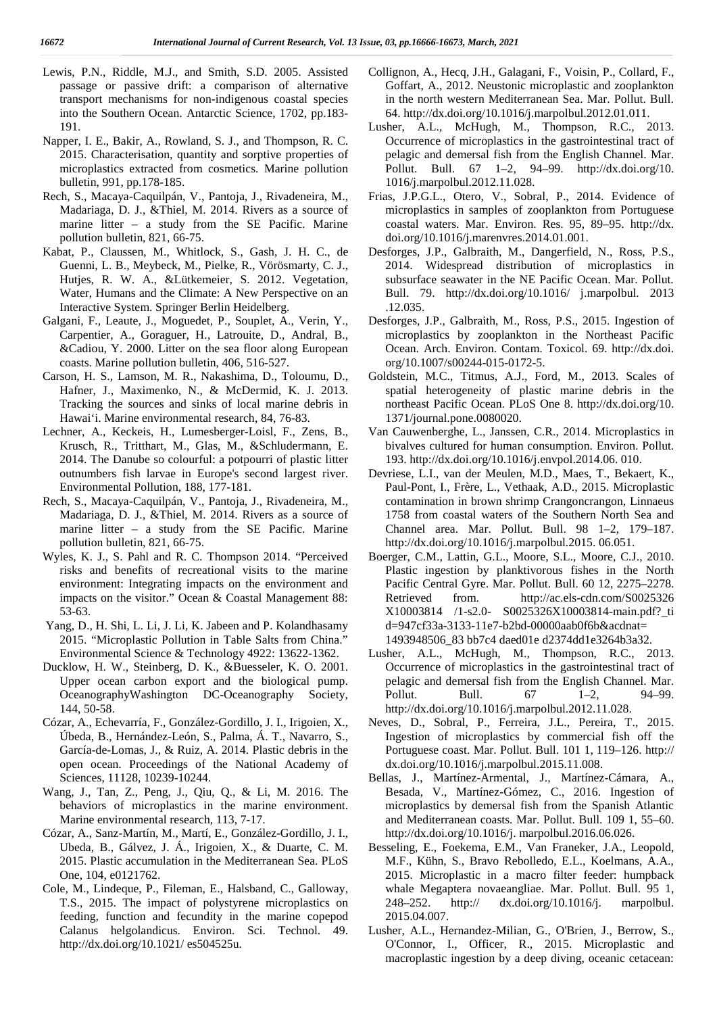- Lewis, P.N., Riddle, M.J., and Smith, S.D. 2005. Assisted passage or passive drift: a comparison of alternative transport mechanisms for non-indigenous coastal species into the Southern Ocean. Antarctic Science, 1702, pp.183- 191.
- Napper, I. E., Bakir, A., Rowland, S. J., and Thompson, R. C. 2015. Characterisation, quantity and sorptive properties of microplastics extracted from cosmetics. Marine pollution bulletin, 991, pp.178-185.
- Rech, S., Macaya-Caquilpán, V., Pantoja, J., Rivadeneira, M., Madariaga, D. J., &Thiel, M. 2014. Rivers as a source of marine litter – a study from the SE Pacific. Marine pollution bulletin, 821, 66-75.
- Kabat, P., Claussen, M., Whitlock, S., Gash, J. H. C., de Guenni, L. B., Meybeck, M., Pielke, R., Vörösmarty, C. J., Hutjes, R. W. A., &Lütkemeier, S. 2012. Vegetation, Water, Humans and the Climate: A New Perspective on an Interactive System. Springer Berlin Heidelberg.
- Galgani, F., Leaute, J., Moguedet, P., Souplet, A., Verin, Y., Carpentier, A., Goraguer, H., Latrouite, D., Andral, B., &Cadiou, Y. 2000. Litter on the sea floor along European coasts. Marine pollution bulletin, 406, 516-527.
- Carson, H. S., Lamson, M. R., Nakashima, D., Toloumu, D., Hafner, J., Maximenko, N., & McDermid, K. J. 2013. Tracking the sources and sinks of local marine debris in Hawai'i. Marine environmental research, 84, 76-83.
- Lechner, A., Keckeis, H., Lumesberger-Loisl, F., Zens, B., Krusch, R., Tritthart, M., Glas, M., &Schludermann, E. 2014. The Danube so colourful: a potpourri of plastic litter outnumbers fish larvae in Europe's second largest river. Environmental Pollution, 188, 177-181.
- Rech, S., Macaya-Caquilpán, V., Pantoja, J., Rivadeneira, M., Madariaga, D. J., &Thiel, M. 2014. Rivers as a source of marine litter – a study from the SE Pacific. Marine pollution bulletin, 821, 66-75.
- Wyles, K. J., S. Pahl and R. C. Thompson 2014. "Perceived risks and benefits of recreational visits to the marine environment: Integrating impacts on the environment and impacts on the visitor." Ocean & Coastal Management 88: 53-63.
- Yang, D., H. Shi, L. Li, J. Li, K. Jabeen and P. Kolandhasamy 2015. "Microplastic Pollution in Table Salts from China." Environmental Science & Technology 4922: 13622-1362.
- Ducklow, H. W., Steinberg, D. K., &Buesseler, K. O. 2001. Upper ocean carbon export and the biological pump. OceanographyWashington DC-Oceanography Society, 144, 50-58.
- Cózar, A., Echevarría, F., González-Gordillo, J. I., Irigoien, X., Úbeda, B., Hernández-León, S., Palma, Á. T., Navarro, S., García-de-Lomas, J., & Ruiz, A. 2014. Plastic debris in the open ocean. Proceedings of the National Academy of Sciences, 11128, 10239-10244.
- Wang, J., Tan, Z., Peng, J., Qiu, Q., & Li, M. 2016. The behaviors of microplastics in the marine environment. Marine environmental research, 113, 7-17.
- Cózar, A., Sanz-Martín, M., Martí, E., González-Gordillo, J. I., Ubeda, B., Gálvez, J. Á., Irigoien, X., & Duarte, C. M. 2015. Plastic accumulation in the Mediterranean Sea. PLoS One, 104, e0121762.
- Cole, M., Lindeque, P., Fileman, E., Halsband, C., Galloway, T.S., 2015. The impact of polystyrene microplastics on feeding, function and fecundity in the marine copepod Calanus helgolandicus. Environ. Sci. Technol. 49. http://dx.doi.org/10.1021/ es504525u.
- Collignon, A., Hecq, J.H., Galagani, F., Voisin, P., Collard, F., Goffart, A., 2012. Neustonic microplastic and zooplankton in the north western Mediterranean Sea. Mar. Pollut. Bull. 64. http://dx.doi.org/10.1016/j.marpolbul.2012.01.011.
- Lusher, A.L., McHugh, M., Thompson, R.C., 2013. Occurrence of microplastics in the gastrointestinal tract of pelagic and demersal fish from the English Channel. Mar. Pollut. Bull. 67 1–2, 94–99. http://dx.doi.org/10. 1016/j.marpolbul.2012.11.028.
- Frias, J.P.G.L., Otero, V., Sobral, P., 2014. Evidence of microplastics in samples of zooplankton from Portuguese coastal waters. Mar. Environ. Res. 95, 89–95. http://dx. doi.org/10.1016/j.marenvres.2014.01.001.
- Desforges, J.P., Galbraith, M., Dangerfield, N., Ross, P.S., 2014. Widespread distribution of microplastics in subsurface seawater in the NE Pacific Ocean. Mar. Pollut. Bull. 79. http://dx.doi.org/10.1016/ j.marpolbul. 2013 .12.035.
- Desforges, J.P., Galbraith, M., Ross, P.S., 2015. Ingestion of microplastics by zooplankton in the Northeast Pacific Ocean. Arch. Environ. Contam. Toxicol. 69. http://dx.doi. org/10.1007/s00244-015-0172-5.
- Goldstein, M.C., Titmus, A.J., Ford, M., 2013. Scales of spatial heterogeneity of plastic marine debris in the northeast Pacific Ocean. PLoS One 8. http://dx.doi.org/10. 1371/journal.pone.0080020.
- Van Cauwenberghe, L., Janssen, C.R., 2014. Microplastics in bivalves cultured for human consumption. Environ. Pollut. 193. http://dx.doi.org/10.1016/j.envpol.2014.06. 010.
- Devriese, L.I., van der Meulen, M.D., Maes, T., Bekaert, K., Paul-Pont, I., Frère, L., Vethaak, A.D., 2015. Microplastic contamination in brown shrimp Crangoncrangon, Linnaeus 1758 from coastal waters of the Southern North Sea and Channel area. Mar. Pollut. Bull. 98 1–2, 179–187. http://dx.doi.org/10.1016/j.marpolbul.2015. 06.051.
- Boerger, C.M., Lattin, G.L., Moore, S.L., Moore, C.J., 2010. Plastic ingestion by planktivorous fishes in the North Pacific Central Gyre. Mar. Pollut. Bull. 60 12, 2275–2278. Retrieved from. http://ac.els-cdn.com/S0025326 X10003814 /1-s2.0- S0025326X10003814-main.pdf?\_ti d=947cf33a-3133-11e7-b2bd-00000aab0f6b&acdnat= 1493948506\_83 bb7c4 daed01e d2374dd1e3264b3a32.
- Lusher, A.L., McHugh, M., Thompson, R.C., 2013. Occurrence of microplastics in the gastrointestinal tract of pelagic and demersal fish from the English Channel. Mar. Pollut. Bull. 67 1–2, 94–99. http://dx.doi.org/10.1016/j.marpolbul.2012.11.028.
- Neves, D., Sobral, P., Ferreira, J.L., Pereira, T., 2015. Ingestion of microplastics by commercial fish off the Portuguese coast. Mar. Pollut. Bull. 101 1, 119–126. http:// dx.doi.org/10.1016/j.marpolbul.2015.11.008.
- Bellas, J., Martínez-Armental, J., Martínez-Cámara, A., Besada, V., Martínez-Gómez, C., 2016. Ingestion of microplastics by demersal fish from the Spanish Atlantic and Mediterranean coasts. Mar. Pollut. Bull. 109 1, 55–60. http://dx.doi.org/10.1016/j. marpolbul.2016.06.026.
- Besseling, E., Foekema, E.M., Van Franeker, J.A., Leopold, M.F., Kühn, S., Bravo Rebolledo, E.L., Koelmans, A.A., 2015. Microplastic in a macro filter feeder: humpback whale Megaptera novaeangliae. Mar. Pollut. Bull. 95 1, http:// dx.doi.org/10.1016/j. marpolbul. 2015.04.007.
- Lusher, A.L., Hernandez-Milian, G., O'Brien, J., Berrow, S., O'Connor, I., Officer, R., 2015. Microplastic and macroplastic ingestion by a deep diving, oceanic cetacean: